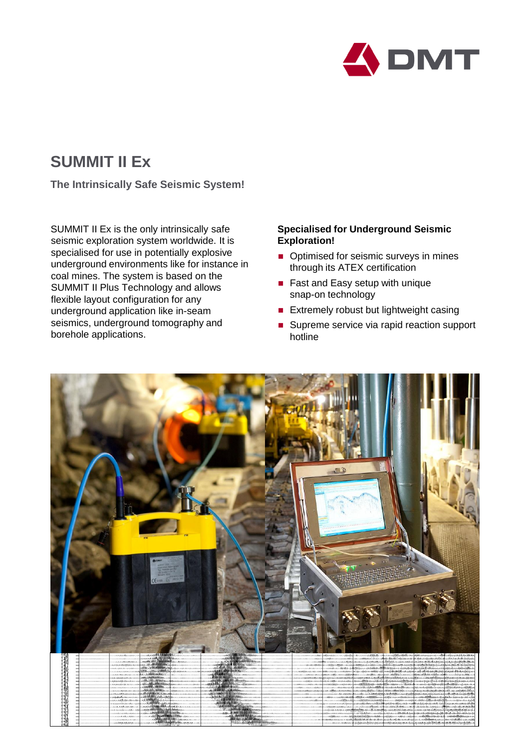

## **SUMMIT II Ex**

**The Intrinsically Safe Seismic System!**

SUMMIT II Ex is the only intrinsically safe seismic exploration system worldwide. It is specialised for use in potentially explosive underground environments like for instance in coal mines. The system is based on the SUMMIT II Plus Technology and allows flexible layout configuration for any underground application like in-seam seismics, underground tomography and borehole applications.

## **Specialised for Underground Seismic Exploration!**

- Optimised for seismic surveys in mines through its ATEX certification
- Fast and Easy setup with unique snap-on technology
- **Extremely robust but lightweight casing**
- Supreme service via rapid reaction support hotline